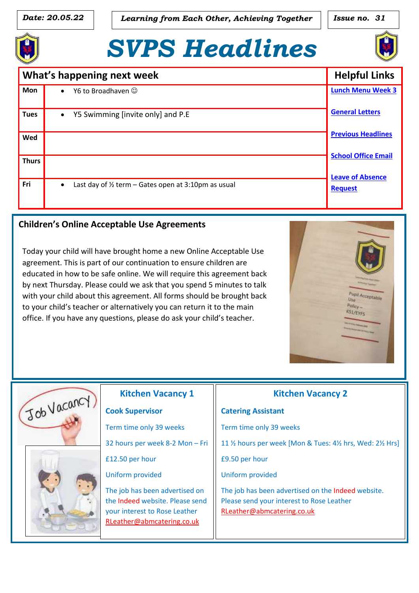*Date:* 20.05.22 *Learning from Each Other, Achieving Together* **| | Issue no. 31** 

# *SVPS Headlines*



| What's happening next week |                                                                             | <b>Helpful Links</b>                                    |
|----------------------------|-----------------------------------------------------------------------------|---------------------------------------------------------|
| <b>Mon</b>                 | Y6 to Broadhaven $\odot$                                                    | <b>Lunch Menu Week 3</b>                                |
| <b>Tues</b>                | Y5 Swimming [invite only] and P.E                                           | <b>General Letters</b>                                  |
| Wed                        |                                                                             | <b>Previous Headlines</b><br><b>School Office Email</b> |
| <b>Thurs</b>               |                                                                             | <b>Leave of Absence</b>                                 |
| Fri                        | Last day of $\frac{1}{2}$ term – Gates open at 3:10pm as usual<br>$\bullet$ | <b>Request</b>                                          |

#### $\overline{a}$ **Children's Online Acceptable Use Agreements**

Today your child will have brought home a new Online Acceptable Use agreement. This is part of our continuation to ensure children are educated in how to be safe online. We will require this agreement back by next Thursday. Please could we ask that you spend 5 minutes to talk with your child about this agreement. All forms should be brought back to your child's teacher or alternatively you can return it to the main office. If you have any questions, please do ask your child's teacher.





# **Kitchen Vacancy 1**

#### **Cook Supervisor**

Term time only 39 weeks

32 hours per week 8-2 Mon – Fri

£12.50 per hour

Uniform provided

The job has been advertised on the Indeed website. Please send your interest to Rose Leather [RLeather@abmcatering.co.uk](mailto:RLeather@abmcatering.co.uk)

## **Kitchen Vacancy 2**

# **Catering Assistant** Term time only 39 weeks 11 ½ hours per week [Mon & Tues: 4½ hrs, Wed: 2½ Hrs] £9.50 per hour Uniform provided The job has been advertised on the Indeed website. Please send your interest to Rose Leather [RLeather@abmcatering.co.uk](mailto:RLeather@abmcatering.co.uk)